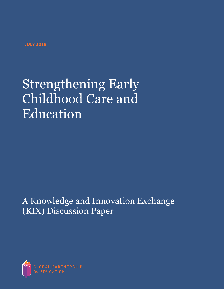**JULY 2019**

# Strengthening Early Childhood Care and Education

A Knowledge and Innovation Exchange (KIX) Discussion Paper

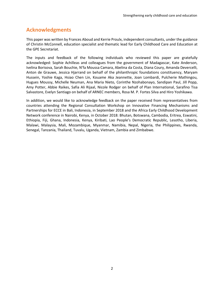# **Acknowledgments**

This paper was written by Frances Aboud and Kerrie Proulx, independent consultants, under the guidance of Christin McConnell, education specialist and thematic lead for Early Childhood Care and Education at the GPE Secretariat.

The inputs and feedback of the following individuals who reviewed this paper are gratefully acknowledged: Sophie Achilleas and colleagues from the government of Madagascar, Kate Anderson, Ivelina Borisova, Sarah Bouchie, N'fa Moussa Camara, Abelina da Costa, Diana Coury, Amanda Devercelli, Anton de Grauwe, Jessica Hjarrand on behalf of the philanthropic foundations constituency, Maryam Hussein, Yoshie Kaga, Hsiao Chen Lin, Kouame Aka Jeannette, Joan Lombardi, Pulcherie Mathingou, Hugues Moussy, Michelle Neuman, Ana Maria Nieto, Corinthe Nzohabonayo, Sandipan Paul, Jill Popp, Amy Potter, Abbie Raikes, Safia Ali Rijaal, Nicole Rodger on behalf of Plan International, Sarafino Tisa Salvastore, Evelyn Santiago on behalf of ARNEC members, Rosa M. P. Fortes Silva and Hiro Yoshikawa.

In addition, we would like to acknowledge feedback on the paper received from representatives from countries attending the Regional Consultation Workshop on Innovative Financing Mechanisms and Partnerships for ECCE in Bali, Indonesia, in September 2018 and the Africa Early Childhood Development Network conference in Nairobi, Kenya, in October 2018: Bhutan, Botswana, Cambodia, Eritrea, Eswatini, Ethiopia, Fiji, Ghana, Indonesia, Kenya, Kiribati, Lao People's Democratic Republic, Lesotho, Liberia, Malawi, Malaysia, Mali, Mozambique, Myanmar, Namibia, Nepal, Nigeria, the Philippines, Rwanda, Senegal, Tanzania, Thailand, Tuvalu, Uganda, Vietnam, Zambia and Zimbabwe.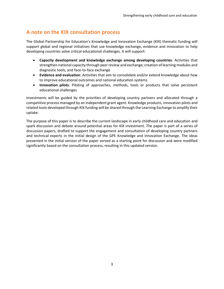# **A note on the KIX consultation process**

The Global Partnership for Education's Knowledge and Innovation Exchange (KIX) thematic funding will support global and regional initiatives that use knowledge exchange, evidence and innovation to help developing countries solve critical educational challenges. It will support:

- **Capacity development and knowledge exchange among developing countries**: Activities that strengthen national capacity through peer review and exchange; creation of learning modules and diagnostic tools, and face-to-face exchange
- **Evidence and evaluation**: Activities that aim to consolidate and/or extend knowledge about how to improve educational outcomes and national education systems
- **Innovation pilots**: Piloting of approaches, methods, tools or products that solve persistent educational challenges

Investments will be guided by the priorities of developing country partners and allocated through a competitive process managed by an independent grant agent. Knowledge products, innovation pilots and related tools developed through KIX funding will be shared through the Learning Exchange to amplify their uptake.

The purpose of this paper is to describe the current landscape in early childhood care and education and spark discussion and debate around potential areas for KIX investment. The paper is part of a series of discussion papers, drafted to support the engagement and consultation of developing country partners and technical experts in the initial design of the GPE Knowledge and Innovation Exchange. The ideas presented in the initial version of the paper served as a starting point for discussion and were modified significantly based on the consultation process, resulting in this updated version.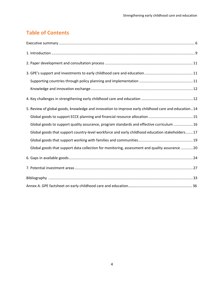# **Table of Contents**

| 5. Review of global goods, knowledge and innovation to improve early childhood care and education14 |
|-----------------------------------------------------------------------------------------------------|
|                                                                                                     |
| Global goods to support quality assurance, program standards and effective curriculum  16           |
| Global goods that support country-level workforce and early childhood education stakeholders17      |
|                                                                                                     |
| Global goods that support data collection for monitoring, assessment and quality assurance  20      |
|                                                                                                     |
|                                                                                                     |
|                                                                                                     |
|                                                                                                     |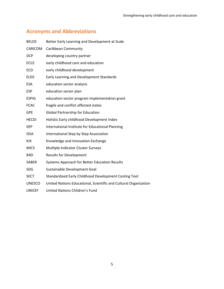# **Acronyms and Abbreviations**

| <b>BELDS</b>     | Better Early Learning and Development at Scale                   |
|------------------|------------------------------------------------------------------|
| CARICOM          | Caribbean Community                                              |
| <b>DCP</b>       | developing country partner                                       |
| <b>ECCE</b>      | early childhood care and education                               |
| <b>ECD</b>       | early childhood development                                      |
| <b>ELDS</b>      | Early Learning and Development Standards                         |
| <b>ESA</b>       | education sector analysis                                        |
| <b>ESP</b>       | education sector plan                                            |
| <b>ESPIG</b>     | education sector program implementation grant                    |
| <b>FCAC</b>      | fragile and conflict affected states                             |
| <b>GPE</b>       | <b>Global Partnership for Education</b>                          |
| <b>HECDI</b>     | Holistic Early childhood Development Index                       |
| <b>IIEP</b>      | International Institute for Educational Planning                 |
| <b>ISSA</b>      | International Step by Step Association                           |
| <b>KIX</b>       | Knowledge and Innovation Exchange                                |
| <b>MICS</b>      | Multiple Indicator Cluster Surveys                               |
| R <sub>4</sub> D | <b>Results for Development</b>                                   |
| <b>SABER</b>     | Systems Approach for Better Education Results                    |
| <b>SDG</b>       | Sustainable Development Goal                                     |
| <b>SECT</b>      | Standardized Early Childhood Development Costing Tool            |
| <b>UNESCO</b>    | United Nations Educational, Scientific and Cultural Organization |

- 
- UNICEF United Nations Children's Fund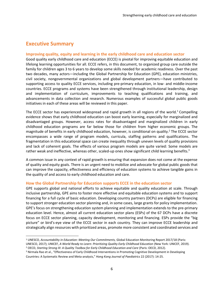# <span id="page-5-0"></span>**Executive Summary**

 $\overline{\phantom{a}}$ 

#### **Improving quality, equity and learning in the early childhood care and education sector**

Good quality early childhood care and education (ECCE) is pivotal for improving equitable education and lifelong learning opportunities for all. ECCE refers, in this document, to organized group care outside the family for children ages 3 to 6 years to develop some skills needed for academic readiness. Over the past two decades, many actors—including the Global Partnership for Education (GPE), education ministries, civil society, nongovernmental organizations and global development partners—have contributed to supporting access to quality ECCE services, including pre-primary education, in low- and middle-income countries. ECCE programs and systems have been strengthened through institutional leadership, design and implementation of curriculum, improvements to teaching qualifications and training, and advancements in data collection and research. Numerous examples of successful global public goods initiatives in each of these areas will be reviewed in this paper.

The ECCE sector has experienced widespread and rapid growth in all regions of the world.<sup>1</sup> Compelling evidence shows that early childhood education can boost early learning, especially for marginalized and disadvantaged groups. However, access rates for disadvantaged and marginalized children in early childhood education programs are far below those for children from higher economic groups. The magnitude of benefits in early childhood education, however, is conditional on quality.<sup>2</sup> The ECCE sector encompasses a wide range of program models, curricula, staffing patterns and qualifications. The fragmentation in this educational space can create inequality through uneven levels of quality provisions and lack of coherent goals. The effects of various program models are quite varied: Some models are rather weak and ineffective, whereas other, scaled-up ones show significant child learning benefits.<sup>3</sup>

A common issue in any context of rapid growth is ensuring that expansion does not come at the expense of quality and equity goals. There is an urgent need to mobilize and advocate for global public goods that can improve the capacity, effectiveness and efficiency of education systems to achieve tangible gains in the quality of and access to early childhood education and care.

#### **How the Global Partnership for Education supports ECCE in the education sector**

GPE supports global and national efforts to achieve equitable and quality education at scale. Through inclusive partnership, GPE aims to foster more effective and equitable education systems and to support financing for a full cycle of basic education. Developing country partners (DCPs) are eligible for financing to support stronger education sector planning and, in some cases, large grants for policy implementation. GPE's focus on strengthening education system planning and implementation extends to the pre-primary education level. Hence, almost all current education sector plans (ESPs) of the 67 DCPs have a discrete focus on ECCE sector planning, capacity development, monitoring and financing. ESPs provide the "big picture" or bird's-eye view of the ECCE sector in each country. They can improve ECCE leadership and strategically align resources with prioritized areas, promote more consistent and coordinated services and

<sup>1</sup> UNESCO, *Accountability in Education: Meeting Our Commitments,* Global Education Monitoring Report 2017/18 (Paris:

UNESCO, 2017); UNICEF, *A World Ready to Learn: Prioritizing Quality Early Childhood Education* (New York: UNICEF, 2019). <sup>2</sup> OECD, *Starting Strong III: A Quality Toolbox for Early Childhood Education and Care* (Paris: OECD, 2012).

<sup>&</sup>lt;sup>3</sup> Nirmala Rao et al., "Effectiveness of Early Childhood Interventions in Promoting Cognitive Development in Developing Countries: A Systematic Review and Meta-analysis," *Hong Kong Journal of Paediatrics* 22 (2017): 14-25.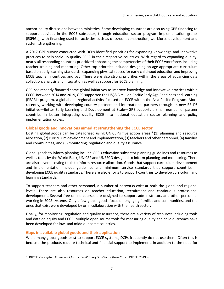anchor policy discussions between ministries. Some developing countries are also using GPE financing to support activities in the ECCE subsector, through education sector program implementation grants (ESPIGs), with financing used for activities such as classroom construction, workforce development and system strengthening.

A 2017 GPE survey conducted with DCPs identified priorities for expanding knowledge and innovative practices to help scale up quality ECCE in their respective countries. With regard to expanding quality, nearly all responding countries prioritized enhancing the competencies of their ECCE workforce, including teacher training and mentoring. Other top priorities included designing an age-appropriate curriculum based on early learning standards, expanding physical spaces for early childhood education and improving ECCE teacher incentives and pay. There were also strong priorities within the areas of advancing data collection, analysis and integration as well as support for ECCE planning.

GPE has recently financed some global initiatives to improve knowledge and innovative practices within ECCE. Between 2014 and 2019, GPE supported the US\$8.5 million Pacific Early Age Readiness and Learning (PEARL) program, a global and regional activity focused on ECCE within the Asia Pacific Program. More recently, working with developing country partners and international partners through its new BELDS initiative—Better Early Learning and Development at Scale—GPE supports a small number of partner countries in better integrating quality ECCE into national education sector planning and policy implementation cycles.

#### **Global goods and innovations aimed at strengthening the ECCE sector**

Existing global goods can be categorized using UNICEF's five action areas:<sup>4</sup> (1) planning and resource allocation, (2) curriculum development and implementation, (3) teachers and other personnel, (4) families and communities, and (5) monitoring, regulation and quality assurance.

Global goods to inform planning include GPE's education subsector planning guidelines and resources as well as tools by the World Bank, UNICEF and UNESCO designed to inform planning and monitoring. There are also several costing tools to inform resource allocation. Goods that support curriculum development and implementation include guidelines and minimum service standards that support countries in developing ECCE quality standards. There are also efforts to support countries to develop curriculum and learning standards.

To support teachers and other personnel, a number of networks exist at both the global and regional levels. There are also resources on teacher education, recruitment and continuous professional development. Several free online courses are designed to support administrators and other personnel working in ECCE systems. Only a few global goods focus on engaging families and communities, and the ones that exist were developed by or in collaboration with the health sector.

Finally, for monitoring, regulation and quality assurance, there are a variety of resources including tools and data on equity and ECCE. Multiple open source tools for measuring quality and child outcomes have been developed for low- and middle-income countries.

## **Gaps in available global goods and their application**

 $\overline{\phantom{a}}$ 

While many global goods exist to support ECCE systems, DCPs frequently do not use them. Often this is because the products require technical and financial support to implement. In addition to the need for

<sup>4</sup> UNICEF, *Conceptual Framework for the Pre-Primary Sub-Sector* (New York: UNICEF, 2019b).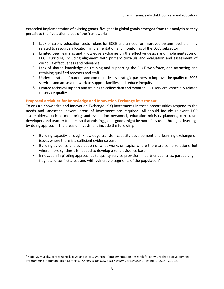expanded implementation of existing goods, five gaps in global goods emerged from this analysis as they pertain to the five action areas of the framework:

- 1. Lack of strong education sector plans for ECCE and a need for improved system-level planning related to resource allocation, implementation and monitoring of the ECCE subsector
- 2. Limited peer learning and knowledge exchange on the effective design and implementation of ECCE curricula, including alignment with primary curricula and evaluation and assessment of curricula effectiveness and relevance
- 3. Lack of shared knowledge on training and supporting the ECCE workforce, and attracting and retaining qualified teachers and staff
- 4. Underutilization of parents and communities as strategic partners to improve the quality of ECCE services and act as a network to support families and reduce inequity
- 5. Limited technical support and training to collect data and monitor ECCE services, especially related to service quality

## **Proposed activities for Knowledge and Innovation Exchange investment**

To ensure Knowledge and Innovation Exchange (KIX) investments in these opportunities respond to the needs and landscape, several areas of investment are required. All should include relevant DCP stakeholders, such as monitoring and evaluation personnel, education ministry planners, curriculum developers and teacher trainers, so that existing global goods might be more fully used through a learningby-doing approach. The areas of investment include the following:

- Building capacity through knowledge transfer, capacity development and learning exchange on issues where there is a sufficient evidence base
- Building evidence and evaluation of what works on topics where there are some solutions, but where more synthesis is needed to develop a solid evidence base
- <span id="page-7-0"></span>• Innovation in piloting approaches to quality service provision in partner countries, particularly in fragile and conflict areas and with vulnerable segments of the population<sup>5</sup>

 $\overline{a}$ 

<sup>5</sup> Katie M. Murphy, Hirokazu Yoshikawa and Alice J. Wuermli, "Implementation Research for Early Childhood Development Programming in Humanitarian Contexts," *Annals of the New York Academy of Sciences* 1419, no. 1 (2018): 201-17.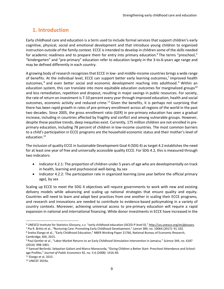# **1. Introduction**

Early childhood care and education is a term used to include formal services that support children's early cognitive, physical, social and emotional development and that introduce young children to organized instruction outside of the family context. ECCE is intended to develop in children some of the skills needed for academic readiness and to prepare them for entry into primary education.<sup>6</sup> The terms "preschool," "kindergarten" and "pre-primary" education refer to education largely in the 3-to-6-years age range and may be defined differently in each country.

A growing body of research recognizes that ECCE in low- and middle-income countries brings a wide range of benefits. At the individual level, ECCE can support better early learning outcomes,<sup>7</sup> improved health outcomes,<sup>8</sup> and even better social and economic development reaching into adulthood.<sup>9</sup> Within an education system, this can translate into more equitable education outcomes for marginalized groups<sup>10</sup> and less remediation, repetition and dropout, resulting in major savings in public resources. For society, the rate of return on investment is 7-10 percent every year through improved education, health and social outcomes, economic activity and reduced crime.<sup>11</sup> Given the benefits, it is perhaps not surprising that there has been rapid growth in rates of pre-primary enrollment across all regions of the world in the past two decades. Since 2005, the gross enrollment ratio (GER) in pre-primary education has seen a gradual increase, including in countries affected by fragility and conflict and among vulnerable groups. However, despite these positive trends, deep inequities exist. Currently, 175 million children are not enrolled in preprimary education, including 78 percent of children in low-income countries. The most common barriers to a child's participation in ECCE programs are the household economic status and their mother's level of education. 12

The inclusion of quality ECCE in Sustainable Development Goal 4 (SDG 4) as target 4.2 establishes the need for at least one year of free and universally accessible quality ECCE. For SDG 4.2, this is measured through two indicators:

- Indicator 4.2.1: The proportion of children under 5 years of age who are developmentally on track in health, learning and psychosocial well-being, by sex
- Indicator 4.2.2: The participation rate in organized learning (one year before the official primary age), by sex

Scaling up ECCE to meet the SDG 4 objectives will require governments to work with new and existing delivery models while advancing and scaling up national strategies that ensure quality and equity. Countries will need to learn and adapt best practices from one another in scaling their ECCE programs, and research and innovations are needed to contribute to evidence-based policymaking in a variety of country contexts. Moreover, achieving universal access to pre-primary education will require a rapid expansion in national and international financing. While donor investments in ECCE have increased in the

 $\overline{\phantom{a}}$ 

<sup>6</sup> UNESCO Institute for Statistics Glossary, *s.v.* "early childhood education (ISCED-P level 0)," [http://uis.unesco.org/en/glossary.](http://uis.unesco.org/en/glossary) 

<sup>7</sup> Pia R. Britto et al., "Nurturing Care: Promoting Early Childhood Development," *Lancet* 389, no. 10064 (2017): 91-102.

<sup>8</sup> Sneha Elango et al., "Early Childhood Education," NBER Working Paper 21766, National Bureau of Economic Research, Cambridge, MA, 2015.

<sup>9</sup> Paul Gertler et al., "Labor Market Returns to an Early Childhood Stimulation Intervention in Jamaica," *Science* 344, no. 6187 (2014): 998-1001.

<sup>10</sup> Samuel Berlinski, Sebastian Galiani and Marco Manacorda, "Giving Children a Better Start: Preschool Attendance and Schoolage Profiles," *Journal of Public Economics* 92, no. 5-6 (2008): 1416-40.

<sup>11</sup> Elango et al. 2015.

<sup>12</sup> UNICEF 2019a.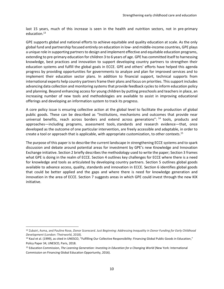last 15 years, much of this increase is seen in the health and nutrition sectors, not in pre-primary education.<sup>13</sup>

GPE supports global and national efforts to achieve equitable and quality education at scale. As the only global fund and partnership focused entirely on education in low- and middle-income countries, GPE plays a unique role in supporting partners to design and implement effective and equitable education programs, extending to pre-primary education for children 3 to 6 years of age. GPE has committed itself to harnessing knowledge, best practices and innovation to support developing country partners to strengthen their education systems and fulfill the global goals in ECCE. GPE and others' efforts have helped this agenda progress by providing opportunities for governments to analyze and plan for improved services and to implement their education sector plans. In addition to financial support, technical supports from international experts help country partners frame their plans and focus on priorities. This support includes advancing data collection and monitoring systems that provide feedback cycles to inform education policy and planning. Beyond enhancing access for young children by putting preschools and teachers in place, an increasing number of new tools and methodologies are available to assist in improving educational offerings and developing an information system to track its progress.

A core policy issue is ensuring collective action at the global level to facilitate the production of global public goods. These can be described as "Institutions, mechanisms and outcomes that provide near universal benefits, reach across borders and extend across generations": <sup>14</sup> tools, products and approaches—including programs, assessment tools, standards and research evidence—that, once developed as the outcome of one particular intervention, are freely accessible and adaptable, in order to create a tool or approach that is applicable, with appropriate customization, to other contexts.<sup>15</sup>

The purpose of this paper is to describe the current landscape in strengthening ECCE systems and to spark discussion and debate around potential areas for investment by GPE's new Knowledge and Innovation Exchange initiative. Section 2 briefly describes the methodology used to write the paper; Section 3 frames what GPE is doing in the realm of ECCE. Section 4 outlines key challenges for ECCE where there is a need for knowledge and tools as articulated by developing country partners. Section 5 outlines global goods available to advance access, quality, standards and innovation in ECCE. Section 6 identifies global goods that could be better applied and the gaps and where there is need for knowledge generation and innovation in the area of ECCE. Section 7 suggests areas in which GPE could invest through the new KIX initiative.

<span id="page-9-0"></span>l

<sup>13</sup> Zubairi, Asma, and Pauline Rose, *Donor Scorecard. Just Beginning: Addressing Inequality in Donor Funding for Early Childhood Development* (London: Theirworld, 2018).

<sup>14</sup> Kaul et al. (1999), as cited in UNESCO, "Fulfilling Our Collective Responsibility: Financing Global Public Goods in Education," Policy Paper 34, UNESCO, Paris, 2018.

<sup>15</sup> Education Commission, *The Learning Generation: Investing in Education for a Changing World* (New York: International Commission on Financing Global Education Opportunity, 2016).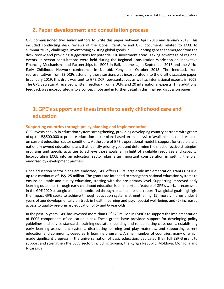# **2. Paper development and consultation process**

GPE commissioned two senior authors to write this paper between April 2018 and January 2019. This included conducting desk reviews of the global literature and GPE documents related to ECCE to summarize key challenges, inventorying existing global goods in ECCE, noting gaps that emerged from the desk review and providing suggestions for potential KIX investment areas. Taking advantage of regional events, in-person consultations were held during the Regional Consultation Workshop on Innovative Financing Mechanisms and Partnerships for ECCE in Bali, Indonesia, in September 2018 and the Africa Early Childhood Network conference in Nairobi, Kenya, in October 2018. The feedback from representatives from 23 DCPs attending these sessions was incorporated into the draft discussion paper. In January 2019, this draft was sent to GPE DCP representatives as well as international experts in ECCE. The GPE Secretariat received written feedback from 9 DCPs and 20 international experts. This additional feedback was incorporated into a concept note and in further detail in this finalized discussion paper.

# <span id="page-10-0"></span>**3. GPE's support and investments to early childhood care and education**

## <span id="page-10-1"></span>**Supporting countries through policy planning and implementation**

GPE invests heavily in education system strengthening, providing developing country partners with grants of up to US\$500,000 to prepare education sector plans based on an analysis of available data and research on current education sector conditions. At the core of GPE's operational model is support for credible and nationally owned education plans that identify priority goals and determine the most effective strategies, programs and specific activities to achieve those goals, all in light of available resources and capacity. Incorporating ECCE into an education sector plan is an important consideration in getting the plan endorsed by development partners.

Once education sector plans are endorsed, GPE offers DCPs large-scale implementation grants (ESPIGs) up to a maximum of US\$125 million. The grants are intended to strengthen national education systems to ensure equitable and quality education, starting with the pre-primary level. Supporting improved early learning outcomes through early childhood education is an important feature of GPE's work, as expressed in the GPE 2020 strategic plan and monitored through its annual results report. Two global goals highlight the impact GPE seeks to achieve through education systems strengthening: (1) more children under 5 years of age developmentally on track in health, learning and psychosocial well-being, and (2) increased access to quality pre-primary education of 5- and 6-year-olds.

In the past 15 years, GPE has invested more than US\$270 million in ESPIGs to support the implementation of ECCE components of education plans. These grants have provided support for developing policy guidelines and service standards, training educators, building and rehabilitating classrooms, establishing early learning assessment systems, distributing learning and play materials, and supporting parent education and community-based early learning programs. A small number of countries, many of which made significant progress in the universalization of basic education, dedicated their full ESPIG grant to support and strengthen the ECCE sector, including Guyana, the Kyrgyz Republic, Moldova, Mongolia and Nicaragua.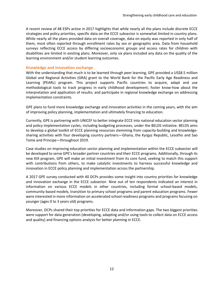A recent review of 48 ESPs active in 2017 highlights that while nearly all the plans include discrete ECCE strategies and policy priorities, specific data on the ECCE subsector is somewhat limited in country plans. While nearly all the plans provided data on overall coverage, data on equity was reported in only half of them, most often reported through enrollment rates by sex or geographic area. Data from household surveys reflecting ECCE access by differing socioeconomic groups and access rates for children with disabilities are limited in existing plans. Moreover, only six plans included any data on the quality of the learning environment and/or student learning outcomes.

#### <span id="page-11-0"></span>**Knowledge and innovation exchange**

With the understanding that much is to be learned through peer learning, GPE provided a US\$8.5 million Global and Regional Activities (GRA) grant to the World Bank for the Pacific Early Age Readiness and Learning (PEARL) program. This project supports Pacific countries to acquire, adapt and use methodological tools to track progress in early childhood development; foster know-how about the interpretation and application of results; and participate in regional knowledge exchange on addressing implementation constraints.

GPE plans to fund more knowledge exchange and innovation activities in the coming years, with the aim of improving policy planning, implementation and ultimately financing to education.

Currently, GPE is partnering with UNICEF to better integrate ECCE into national education sector planning and policy implementation cycles, including budgeting processes, under the BELDS initiative. BELDS aims to develop a global toolkit of ECCE planning resources stemming from capacity-building and knowledgesharing activities with four developing country partners—Ghana, the Kyrgyz Republic, Lesotho and Sao Tome and Principe—throughout 2019.

Case studies on improving education sector planning and implementation within the ECCE subsector will be developed to serve GPE's broader partner countries and their ECCE programs. Additionally, through its new KIX program, GPE will make an initial investment from its core fund, seeking to match this support with contributions from others, to make catalytic investments to harness successful knowledge and innovation in ECCE policy planning and implementation across the partnership.

A 2017 GPE survey conducted with 40 DCPs provides some insight into country priorities for knowledge and innovation exchange in the ECCE subsector. Nine out of ten respondents indicated an interest in information on various ECCE models in other countries, including formal school-based models, community-based models, transition to primary school programs and parent education programs. Fewer were interested in more information on accelerated school readiness programs and programs focusing on younger (ages 0 to 3 years old) programs.

<span id="page-11-1"></span>Moreover, DCPs shared their top priorities for ECCE data and information gaps. The two biggest priorities were support for data generation (developing, adapting and/or using tools to collect data on ECCE access and quality) and financing options analysis for better planning in ECCE.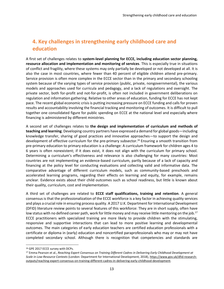# **4. Key challenges in strengthening early childhood care and education**

A first set of challenges relates to **system-level planning for ECCE, including education sector planning, resource allocation and implementation and monitoring of services**. This is especially true in situations of conflict and fragility, where these systems may only partially be developed or not developed at all. It is also the case in most countries, where fewer than 40 percent of eligible children attend pre-primary. Service provision is often more complex in the ECCE sector than in the primary and secondary schooling system because of the varying types of service provision (public, private, nongovernmental), the various models and approaches used for curricula and pedagogy, and a lack of regulations and oversight. The private sector, both for-profit and not-for-profit, is often not included in government deliberations on regulation and information gathering. Relative to other areas of education, funding for ECCE has not kept pace. The recent global economic crisis is putting increasing pressure on ECCE funding and calls for proven results and accountability involving the financial tracking and monitoring of outcomes. It is difficult to pull together one consolidated figure for public spending on ECCE at the national level and especially where financing is administered by different ministries.

A second set of challenges relates to **the design and implementation of curriculum and methods of teaching and learning**. Developing country partners have expressed a demand for global goods—including knowledge transfer, sharing of good practices and innovative approaches—to support the design and development of effective curriculum for the pre-primary subsector.<sup>16</sup> Ensuring a smooth transition from pre-primary education to primary education is a challenge: A curriculum framework for children ages 4 to 6 years is often nonexistent; if it does exist, it does not align with the curriculum for primary school. Determining a curriculum's effectiveness and relevance is also challenging for many countries: Most countries are not implementing an evidence-based curriculum, partly because of a lack of capacity and financing at the policy level for conducting evaluations and collecting valid and informative data. The comparative advantage of different curriculum models, such as community-based preschools and accelerated learning programs, regarding their effects on learning and equity, for example, remains unclear. Evidence exists about their child outcomes such as school readiness, but little is known about their quality, curriculum, cost and implementation.

A third set of challenges are related to **ECCE staff qualifications, training and retention**. A general consensus is that the professionalization of the ECCE workforce is a key factor in achieving quality services and plays a crucial role in ensuring process quality. A 2017 U.K. Department for International Development (DFID) literature review points to several features of this workforce: They are in short supply, often have low status with no defined career path, work for little money and may receive little mentoring on the job.<sup>17</sup> ECCE practitioners with specialized training are more likely to provide children with the stimulating, responsive and supportive interactions that can lead to more positive learning and developmental outcomes. The main categories of early education teachers are certified education professionals with a certificate or diploma in (early) education and noncertified paraprofessionals who may or may not have completed secondary school. Although there is recognition that competencies and standards are

 $\overline{\phantom{a}}$ 

<sup>16</sup> GPE 2017 ECCE survey with DCPs.

<sup>17</sup> Emma Pearson et al., *Reaching Expert Consensus on Training Different Cadres in Delivering Early Childhood Development at Scale in Low-Resource Contexts* (London: Department for International Development, 2018)[, https://www.gov.uk/dfid-research](https://www.gov.uk/dfid-research-outputs/reaching-expert-consensus-on-training-different-cadres-in-delivering-early-childhood-development)[outputs/reaching-expert-consensus-on-training-different-cadres-in-delivering-early-childhood-development.](https://www.gov.uk/dfid-research-outputs/reaching-expert-consensus-on-training-different-cadres-in-delivering-early-childhood-development)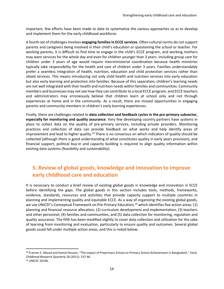important, few efforts have been made to date to systematize the various approaches so as to develop and implement them for the early childhood workforce.

A fourth set of challenges involves **engaging familiesin ECCE services**. Often cultural norms do not support parents and caregivers being involved in their child's education or questioning the school or teacher. For working parents, it is difficult to find time to engage in the child's ECCE program, and working mothers may want services for the whole day and even for children younger than 3 years. Including group care for children under 3 years of age would require interministerial coordination because health ministries typically take responsibility for the health and care of children under 3 years. Families understandably prefer a seamless integration of health, nutrition, education and child protection services rather than siloed services. This means introducing not only child health and nutrition services into early education but also early learning and protection into families. Because of this separation, children's learning needs are not well integrated with their health and nutrition needs within families and communities. Community members and businesses may not see how they can contribute to a local ECCE program, and ECCE teachers and administrators may erroneously believe that children learn at school only and not through experiences at home and in the community. As a result, there are missed opportunities in engaging parents and community members in children's early learning experiences.

Finally, there are challenges related to **data collection and feedback cycles in the pre-primary subsector, especially for monitoring and quality assurance**. Very few developing country partners have systems in place to collect data on the quality of pre-primary services, including private providers. Monitoring practices and collection of data can provide feedback on what works and help identify areas of improvement and lead to higher quality.<sup>18</sup> There is no consensus on which indicators of quality should be collected (although there is good understanding of what constitutes quality in early years provision), and financial support, political buy-in and capacity building is required to align quality information within existing data systems (feasibility and sustainability).

# <span id="page-13-0"></span>**5. Review of global goods, knowledge and innovation to improve early childhood care and education**

It is necessary to conduct a brief review of existing global goods in knowledge and innovation in ECCE before identifying the gaps. The global goods in this section includes tools, methods, frameworks, evidence, standards, resources and activities that provide capacity support to multiple countries in planning and implementing quality and equitable ECCE. As a way of organizing the existing global goods, we use UNICEF's Conceptual Framework on Pre-Primary Education,<sup>19</sup> which identifies five action areas: (1) planning and financial resource allocation, (2) curriculum development and implementation, (3) teachers and other personnel, (4) families and communities, and (5) data collection for monitoring, regulation and quality assurance. The fifth has been modified slightly to cover data collection and utilization for the sake of learning from monitoring and evaluation, particularly to ensure quality and outcomes. Several global goods could fall under multiple action areas, and this is noted below.

 $\overline{\phantom{a}}$ 

<sup>18</sup> Frances E. Aboud and Kamal Hossain, "The Impact of Preprimary School on Primary School Achievement in Bangladesh," *Early Childhood Research Quarterly* 26 (2011): 237-46.

<sup>19</sup> UNICEF 2019b.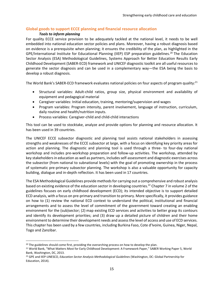## <span id="page-14-0"></span>**Global goods to support ECCE planning and financial resource allocation**

#### *Tools to inform planning*

For quality ECCE service provision to be adequately tackled at the national level, it needs to be well embedded into national education sector policies and plans. Moreover, having a robust diagnosis based on evidence is a prerequisite when planning; it ensures the credibility of the plan, as highlighted in the GPE/International Institute for Educational Planning (IIEP) ESP preparation guidelines.<sup>20</sup> The Education Sector Analysis (ESA) Methodological Guidelines, Systems Approach for Better Education Results Early Childhood Development (SABER-ECD) framework and UNICEF diagnostic toolkit are all useful resources to generate the sector diagnosis and can be used in a complementary way—the ESA being the basis to develop a robust diagnosis.

The World Bank's SABER-ECD framework evaluates national policies on four aspects of program quality:<sup>21</sup>

- Structural variables: Adult-child ratios, group size, physical environment and availability of equipment and pedagogical material
- Caregiver variables: Initial education, training, mentoring/supervision and wages
- Program variables: Program intensity, parent involvement, language of instruction, curriculum, daily routine and health/nutrition inputs.
- Process variables: Caregiver-child and child-child interactions

This tool can be used to stocktake, analyze and provide options for planning and resource allocation. It has been used in 39 countries.

The UNICEF ECCE subsector diagnostic and planning tool assists national stakeholders in assessing strengths and weaknesses of the ECCE subsector at large, with a focus on identifying key priority areas for action and planning. The diagnostic and planning tool is used through a three- to four-day national workshop and includes pre-workshop preparation and follow-up activities. The workshop, attended by key stakeholders in education as well as partners, includes self-assessment and diagnostic exercises across the subsector (from national to subnational levels) with the goal of promoting ownership in the process of systematic pre-primary subsector planning. The workshop is also a valuable opportunity for capacity building, dialogue and in-depth reflection. It has been used in 17 countries.

The ESA Methodological Guidelines provide methods for carrying out a comprehensive and robust analysis based on existing evidence of the education sector in developing countries.<sup>22</sup> Chapter 7 in volume 2 of the guidelines focuses on early childhood development (ECD); its intended objective is to support detailed ECD analysis, with a focus on pre-primary and transition to primary. More specifically, it provides guidance on how to (1) review the national ECD context to understand the political, institutional and financial arrangements and to assess the level of commitment of the government toward creating an enabling environment for the (sub)sector; (2) map existing ECD services and activities to better grasp its contours and identify its development priorities; and (3) draw up a detailed picture of children and their home environment to determine their development needs and assess the level of access and use of ECD services. This chapter has been used by a few countries, including Burkina Faso, Cote d'Ivoire, Guinea, Niger, Nepal, Togo and Zanzibar.

 $\overline{a}$ <sup>20</sup> The guidelines should come first, providing the overarching process on how to develop the plan.

<sup>&</sup>lt;sup>21</sup> World Bank, "What Matters Most for Early Childhood Development: A Framework Paper," SABER Working Paper 5, World Bank, Washington, DC, 2013.

<sup>22</sup> GPE and IIEP-UNESCO, *Education Sector Analysis Methodological Guidelines* (Washington, DC: Global Partnership for Education, 2014).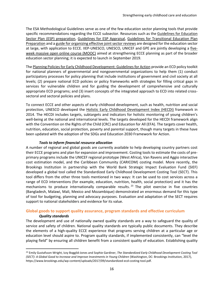The ESA Methodological Guidelines serve as one of the few education sector planning tools that provide specific recommendations regarding the ECCE subsector. Resources such as the Guidelines for Education [Sector Plan \(ESP\) preparation,](https://www.globalpartnership.org/content/guidelines-education-sector-plan-preparation) [Guidelines for ESP Appraisal,](https://www.globalpartnership.org/content/guidelines-education-sector-plan-appraisal) [Guidelines for Transitional Education Plan](https://www.globalpartnership.org/content/guidelines-transitional-education-plan-preparation)  [Preparation](https://www.globalpartnership.org/content/guidelines-transitional-education-plan-preparation) and [a guide for organizing effective joint sector reviews](https://www.globalpartnership.org/content/practical-guide-effective-joint-sector-reviews-education-sector) are designed for the education sector at large, with application to ECCE. IIEP-UNESCO, UNESCO, UNICEF and GPE are jointly developing a [five](http://www.iiep.unesco.org/en/register-june-2019-mooc-mainstreaming-early-childhood-education-education-sector-planning-4811)[week massive open online course \(MOOC\)](http://www.iiep.unesco.org/en/register-june-2019-mooc-mainstreaming-early-childhood-education-education-sector-planning-4811) aimed at strengthening ECCE planning as part of the broader education sector planning; it is expected to launch in September 2019.

Th[e Planning Policies for Early Childhood Development: Guidelines for Action](https://unesdoc.unesco.org/ark:/48223/pf0000139545) provide an ECD policy toolkit for national planners of governmental and nongovernmental organizations to help them (1) conduct participatory processes for policy planning that include institutions of government and civil society at all levels; (2) prepare national ECD policies or policy frameworks with strategies for filling critical gaps in services for vulnerable children and for guiding the development of comprehensive and culturally appropriate ECD programs; and (3) insert concepts of the integrated approach to ECD into related crosssectoral and sectoral policies and plans.

To connect ECCE and other aspects of early childhood development, such as health, nutrition and social protection, UNESCO developed the [Holistic Early Childhood Development Index \(HECDI\)](https://unesdoc.unesco.org/ark:/48223/pf0000229188) framework in 2014. The HECDI includes targets, subtargets and indicators for holistic monitoring of young children's well-being at the national and international levels. The targets developed for the HECDI framework align with the Convention on the Rights of the Child (CRC) and Education for All (EFA). The targets cover health, nutrition, education, social protection, poverty and parental support, though many targets in these have been updated with the adoption of the SDGs and Education 2030 Framework for Action.

#### *Tools to inform financial resource allocation*

A number of regional and global goods are currently available to help developing country partners cost their ECCE programs and plan for expansion and improvement. Costing tools to estimate the costs of preprimary programs include the UNICEF regional prototype (West Africa), Van Ravens and Aggio interactive cost estimation model, and the Caribbean Community (CARICOM) costing model. More recently, the Brookings Institution in partnership with the World Bank Strategic Impact Evaluation Fund (SIEF) developed a global tool called the Standardized Early Childhood Development Costing Tool (SECT). This tool differs from the other three tools mentioned in two ways: It can be used to cost services across a range of ECD interventions (for example, education, nutrition, health, social protection) and it has the mechanisms to produce internationally comparable results.<sup>23</sup> The pilot exercise in five countries (Bangladesh, Malawi, Mali, Mexico and Mozambique) demonstrated an enormous demand for this type of tool for budgeting, planning and advocacy purposes. Evaluation and adaptation of the SECT requires support to national stakeholders and evidence for its value.

## <span id="page-15-0"></span>**Global goods to support quality assurance, program standards and effective curriculum**

#### *Quality standards*

 $\overline{\phantom{a}}$ 

The development and use of nationally owned quality standards are a way to safeguard the quality of service and safety of children. National quality standards are typically public documents. They describe the elements of a high-quality ECCE experience that programs serving children at a particular age or education level should aspire to. Program quality standards, if implemented consistently, can "level the playing field" by ensuring all children benefit from a consistent quality of education. Establishing quality

<sup>23</sup> Emily Gustafsson-Wright, Izzy Boggild-Jones and Sophie Gardiner, *The Standardized Early Childhood Development Costing Tool (SECT): A Global Good to Increase and Improve Investments in Young Children* (Washington, DC: Brookings Institution, 2017), https://www.brookings.edu/wp-content/uploads/2017/09/standardized-ecd-costing-tool.pdf.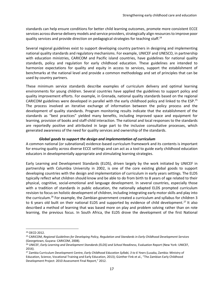standards can help ensure conditions for better child learning outcomes, promote more consistent ECCE services across diverse delivery models and service providers, strategically align resources to improve poor quality services and provide direction on pedagogical strategies for teaching staff.<sup>24</sup>

Several regional guidelines exist to support developing country partners in designing and implementing national quality standards and regulatory mechanisms. For example, UNICEF and UNESCO, in partnership with education ministries, CARICOM and Pacific island countries, have guidelines for national quality standards, policy and regulation for early childhood education. These guidelines are intended to harmonize expectations for quality and equity in access to services, support the establishment of benchmarks at the national level and provide a common methodology and set of principles that can be used by country partners.

These minimum service standards describe examples of curriculum delivery and optimal learning environments for young children. Several countries have applied the guidelines to support policy and quality improvement efforts. For example, in Grenada, national quality standards based on the regional CARICOM guidelines were developed in parallel with the early childhood policy and linked to the ESP.<sup>25</sup> The process involved an iterative exchange of information between the policy process and the development of quality standards. Program monitoring results indicate that the establishment of the standards as "best practices" yielded many benefits, including improved space and equipment for learning, provision of books and staff-child interaction. The national and local responses to the standards are reportedly positive and attributed in large part to the inclusive consultative processes, which generated awareness of the need for quality services and ownership of the standards.

#### *Global goods to support the design and implementation of curriculum*

A common national (or subnational) evidence-based curriculum framework and its contents is important for ensuring quality across diverse ECCE settings and can act as a tool to guide early childhood education educators in developmentally appropriate and stimulating learning strategies.

Early Learning and Development Standards (ELDS), driven largely by the work initiated by UNICEF in partnership with Columbia University in 2002, is one of the core existing global goods to support developing countries with the design and implementation of curriculum in early years settings. The ELDS typically reflect what children should know and be able to do from birth to 8 years of age related to their physical, cognitive, social-emotional and language development. In several countries, especially those with a tradition of standards in public education, the nationally adapted ELDS prompted curriculum revision to focus on holistic development of children, including integrating early motor skills and play into the curriculum.<sup>26</sup> For example, the Zambian government created a curriculum and syllabus for children 3 to 6 years old built on their national ELDS and supported by evidence of child development.<sup>27</sup> It also described a method of learning that was based more on play and problem solving rather than on rote learning, the previous focus. In South Africa, the ELDS drove the development of the first National

l

<sup>24</sup> OECD 2012.

<sup>25</sup> CARICOM, *Regional Guidelines for Developing Policy, Regulation and Standards in Early Childhood Development Services* (Georgetown, Guyana: CARICOM, 2008).

<sup>26</sup> UNICEF, *Early Learning and Development Standards (ELDS) and School Readiness,* Evaluation Report (New York: UNICEF, 2016).

<sup>27</sup> Zambia Curriculum Development Centre, *Early Childhood Education Syllabi, 3 to 6 Years* (Lusaka, Zambia: Ministry of Education, Science, Vocational Training and Early Education, 2013); Günther Fink et al., "The Zambian Early Childhood Development Project: 2010 Assessment Final Report," 2012.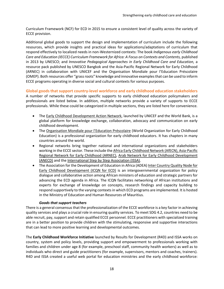Curriculum Framework (NCF) for ECD in 2015 to ensure a consistent level of quality across the variety of ECCE provision.

Additional global goods to support the design and implementation of curriculum include the following resources, which provide insights and practical ideas for applications/adaptations of curriculum that respond effectively to localized needs in non-Westernized contexts: The book *Indigenous early Childhood Care and Education (IECCE) Curriculum Framework for Africa: A Focus on Contexts and Contents,* published in 2013 by UNESCO; and *Innovative Pedagogical Approaches in Early Childhood Care and Education,* a resource pack published by UNESCO Bangkok and the Asia-Pacific Regional Network for Early Childhood (ARNEC) in collaboration with UNICEF and the Organisation Mondiale pour l'Education Préscolaire (OMEP). Both resources offer "grass roots" knowledge and innovative examples that can be used to inform ECCE programs operating in diverse social and cultural contexts for various purposes.

<span id="page-17-0"></span>**Global goodsthat support country-level workforce and early childhood education stakeholders** A number of networks that provide specific supports to early childhood education policymakers and professionals are listed below. In addition, multiple networks provide a variety of supports to ECCE professionals. While these could be categorized in multiple sections, they are listed here for convenience.

- The [Early Childhood Development Action Network,](http://www.ecdan.org/about.html) launched by UNICEF and the World Bank, is a global platform for knowledge exchange, collaboration, advocacy and communication on early childhood development.
- The [Organisation Mondiale pour l'Education Préscolaire](http://worldomep.org/) (World Organization for Early Childhood Education) is a professional organization for early childhood educators. It has chapters in many countries around the world.
- Regional networks bring together national and international organizations and stakeholders working in the ECCE sector. These include th[e Africa Early Childhood Network \(AfECN\),](https://africaecnetwork.org/about-us) [Asia-Pacific](https://arnec.net/)  [Regional Network for Early Childhood \(ARNEC\),](https://arnec.net/) [Arab Network for Early Childhood Development](https://anecd.mawared.org/en)  [\(ANECD\)](https://anecd.mawared.org/en) and the [International Step by Step Association \(ISSA\).](https://issa.nl/)
- The Association for the Development of Education in Africa (ADEA[\) Inter Country Quality Node for](http://www.adeanet.org/en/icqn/early-childhood-development)  [Early Childhood Development \(ICQN for ECD\)](http://www.adeanet.org/en/icqn/early-childhood-development) is an intergovernmental organization for policy dialogue and collaborative action among African ministers of education and strategic partners for advancing the ECD agenda in Africa. The ICQN facilitates networking of African institutions and experts for exchange of knowledge on concepts, research findings and capacity building to respond supportively to the varying contexts in which ECD programs are implemented. It is hosted in the Ministry of Education and Human Resources of Mauritius.

## *Goods that support teachers*

There is a general consensus that the professionalization of the ECCE workforce is a key factor in achieving quality services and plays a crucial role in ensuring quality services. To meet SDG 4.2, countries need to be able recruit, pay, support and retain qualified ECCE personnel. ECCE practitioners with specialized training are in a better position to provide children with the stimulating, responsive and supportive interactions that can lead to more positive learning and developmental outcomes.

The **Early Childhood Workforce Initiative** launched by Results for Development (R4D) and ISSA works on country, system and policy levels, providing support and empowerment to professionals working with families and children under age 8 (for example, preschool staff, community health workers) as well as to individuals who direct and guide practitioners (for example, supervisors, mentors and coaches, trainers). R4D and ISSA created a useful web portal for education ministries and the early childhood workforce: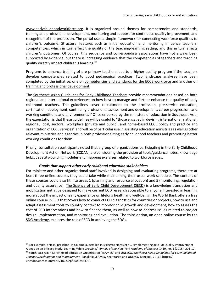[www.earlychildhoodworkforce.org.](http://www.earlychildhoodworkforce.org/) It is organized around themes for competencies and standards, training and professional development, monitoring and support for continuous quality improvement, and recognition of the profession. The portal uses a simple framework for connecting workforce qualities to children's outcome: Structural features such as initial education and mentoring influence teachers' competencies, which in turn affect the quality of the teaching/learning setting, and this in turn affects children's outcomes. Of course, this sequence and corresponding associations have not always been supported by evidence, but there is increasing evidence that the competencies of teachers and teaching quality directly impact children's learning.<sup>28</sup>

Programs to enhance training of pre-primary teachers lead to a higher-quality program if the teachers develop competencies related to good pedagogical practices. Two landscape analyses have been completed by the initiative, one on [competencies and standards for the ECCE workforce](https://www.earlychildhoodworkforce.org/sites/default/files/resources/Competences_Standards_Executive%20Summary_0.pdf) and another on [training and professional development.](http://www.earlychildhoodworkforce.org/node/309)

The [Southeast Asian Guidelines for Early Childhood Teachers](https://unesdoc.unesco.org/ark:/48223/pf0000244370) provide recommendations based on both regional and international experiences on how best to manage and further enhance the quality of early childhood teachers. The guidelines cover recruitment to the profession, pre-service education, certification, deployment, continuing professional assessment and development, career progression, and working conditions and environments.<sup>29</sup> Once endorsed by the ministers of education in Southeast Asia, the expectation is that these guidelines will be useful to "those engaged in devising international, national, regional, local, sectoral, workplace (private and public), and home-based ECCE policy and practice and organization of ECCE services" and will be of particular use in assisting education ministries as well as other relevant ministries and agencies in both professionalizing early childhood teachers and promoting better working conditions for them.

Finally, consultation participants noted that a group of organizations participating in the Early Childhood Development Action Network (ECDAN) are considering the provision of tools/guidance notes, knowledge hubs, capacity-building modules and mapping exercises related to workforce issues.

#### *Goods that support other early childhood education stakeholders*

 $\overline{a}$ 

For ministry and other organizational staff involved in designing and evaluating programs, there are at least three online courses they could take while maintaining their usual work schedule. The content of these courses could also fit into areas 1 (planning and resource allocation) and 5 (monitoring, regulation and quality assurance). [The Science of Early Child Development \(SECD\)](https://www.aku.edu/ihd/projects/Pages/SECD--Science-of-Early-Child-Development.aspx) is a knowledge translation and mobilization initiative designed to make current ECD research accessible to anyone interested in learning more about the impact of early experience on lifelong health and well-being. The World Bank offers a [free](http://blogs.worldbank.org/education/free-online-course-early-childhood-development)  [online course](http://blogs.worldbank.org/education/free-online-course-early-childhood-development) in ECD that covers how to conduct ECD diagnostics for countries or projects, how to use and adapt assessment tools to country context to monitor child growth and development, how to assess the cost of ECD interventions and how to finance them, as well as how to address issues related to project design, implementation, and monitoring and evaluation. The third option, an open [online course](https://courses.sdgacademy.org/learn/the-best-start-in-life-early-childhood-development-for-sustainable-development-september-2017) by the [SDG Academy,](https://courses.sdgacademy.org/learn/the-best-start-in-life-early-childhood-development-for-sustainable-development-september-2017) explores the role of ECD in achieving the SDGs.

<sup>&</sup>lt;sup>28</sup> For example, aeioTU preschool in Colombia, detailed in Milagros Nores et al., "Implementing aeioTU: Quality Improvement Alongside an Efficacy Study: Learning While Growing," *Annals of the New York Academy of Sciences* 1419, no. 1 (2018): 201-17. <sup>29</sup> South-East Asian Ministers of Education Organization (SEAMEO) and UNESCO, *Southeast Asian Guidelines for Early Childhood Teacher Development and Management* (Bangkok: SEAMEO Secretariat and UNESCO Bangkok, 2016), https:// unesdoc.unesco.org/ark:/48223/pf0000244370.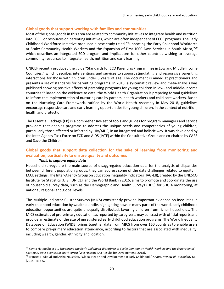#### <span id="page-19-0"></span>**Global goods that support working with families and communities**

Most of the global goods in this area are related to community initiatives to integrate health and nutrition into ECCE, or resources on parenting initiatives, which are often independent of ECCE programs. The Early Childhood Workforce Initiative produced a case study titled "Supporting the Early Childhood Workforce at Scale: Community Health Workers and the Expansion of First 1000 Days Services in South Africa,"<sup>30</sup> which describes an integrated ECD program and implications for other countries wishing to leverage community resources to integrate health, nutrition and early learning.

UNICEF recently produced the guide "Standards for ECD Parenting Programmesin Low and Middle Income Countries," which describes interventions and services to support stimulating and responsive parenting interactions for those with children under 3 years of age. The document is aimed at practitioners and presents a set of standards for parenting programs. In 2015, a systematic review and meta-analysis was published showing positive effects of parenting programs for young children in low- and middle-income countries.<sup>31</sup> Based on the evidence to date, the World Health Organization [is preparing formal guidelines](https://www.who.int/maternal_child_adolescent/documents/nurturing-care-early-childhood-development/en/) to inform the implementation of nurturing care by parents, health workers and child care workers. Based on the Nurturing Care Framework, ratified by the World Health Assembly in May 2018, guidelines encourage responsive care and early learning opportunities for young children, in the context of nutrition, health and protection.

The [Essential Package \(EP\)](https://ilifalabantwana.co.za/the-essential-package-a-model-for-early-childhood-development/) is a comprehensive set of tools and guides for program managers and service providers that enables programs to address the unique needs and competencies of young children, particularly those affected or infected by HIV/AIDS, in an integrated and holistic way. It was developed by the Inter-Agency Task Force on ECD and AIDS (IATF) within the Consultative Group and co-chaired by CARE and Save the Children.

# <span id="page-19-1"></span>**Global goods that support data collection for the sake of learning from monitoring and evaluation, particularly to ensure quality and outcomes**

#### *Tools to capture equity data*

 $\overline{\phantom{a}}$ 

Household surveys are the main source of disaggregated education data for the analysis of disparities between different population groups; they can address some of the data challenges related to equity in ECCE settings. The Inter-Agency Group on Education Inequality Indicators (IAG-EII), created by the UNESCO Institute for Statistics (UIS), UNICEF and the World Bank in 2016, aims to promote and coordinate the use of household survey data, such as the Demographic and Health Surveys (DHS) for SDG 4 monitoring, at national, regional and global levels.

The Multiple Indicator Cluster Surveys (MICS) consistently provide important evidence on inequities in early childhood education by wealth quintile, highlighting how, in many parts of the world, early childhood education opportunities are quite unequally distributed, favoring children from richer households. The MICS estimates of pre-primary education, as reported by caregivers, may contrast with official reports and provide an estimate of the size of unregistered early childhood education programs. The World Inequality Database on Education (WIDE) brings together data from MICS from over 160 countries to enable users to compare pre-primary education attendance, according to factors that are associated with inequality, including wealth, gender, ethnicity and location.

<sup>30</sup> Kavita Hatipoğlu et al., *Supporting the Early Childhood Workforce at Scale: Community Health Workers and the Expansion of First 1000 Days Services in South Africa* (Washington, DC: Results for Development, 2018).

<sup>31</sup> Frances E. Aboud and Aisha Yousafzai, "Global Health and Development in Early Childhood," *Annual Review of Psychology* 66 (2015): 433-57.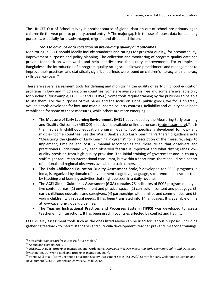The UNICEF Out of School survey is another source of global data on out-of-school pre-primary aged children (in the year prior to primary school entry).<sup>32</sup> The major gap is in the use of access data for planning purposes, especially for disadvantaged, migrant and disabled children.

#### *Tools to advance data collection on pre-primary quality and outcomes*

Monitoring in ECCE should ideally include standards and ratings for program quality, for accountability, improvement purposes and policy planning. The collection and monitoring of program quality data can provide feedback on what works and help identify areas for quality improvements. For example, in Bangladesh, the introduction of a program quality rating scale allowed practitioners and management to improve their practices, and statistically significant effects were found on children's literacy and numeracy skills year-on-year.<sup>33</sup>

There are several assessment tools for defining and monitoring the quality of early childhood education programs in low- and middle-income countries. Some are available for free and some are available only for purchase (for example, ECERS-R and ECERS-E). Some tools require training by the publisher to be able to use them. For the purposes of this paper and the focus on global public goods, we focus on freely available tools developed for low- and middle-income country contexts. Reliability and validity have been established for some of these measures, while others are more emerging.

- The **Measure of Early Learning Environments (MELE),** developed by the Measuring Early Learning and Quality Outcomes (MELQO) initiative, is available online at no cost [\(ecdmeasure.org\)](file:///C:/Users/WB522736/Documents/Discussion%20papers%20-%20Aditi%20April%202019/For%20translation/ECCE/ecdmeasure.org).<sup>34</sup> It is the first early childhood education program quality tool specifically developed for low- and middle-income countries. See the World Bank's 2016 Early Learning Partnership guidance note "Measuring the Quality of Early Learning Programs" for a description of the measure, steps to implement, timeline and cost. A manual accompanies the measure so that observers and practitioners understand why each observed feature is important and what distinguishes lowquality provision from high-quality provision. The initial training of government and in-country staff might require an international consultant, but within a short time, there should be a cohort of national and regional observers available to train others.
- The **Early Childhood Education Quality Assessment Scale**, <sup>35</sup> developed for ECCE programs in India, is organized by domain of development (cognitive, language, socio-emotional) rather than by teaching and learning activities that might be seen in a daily routine.
- The **ACEI Global Guidelines Assessment (GGA)** contains 76 indicators of ECCE program quality in five content areas: (1) environment and physical space, (2) curriculum content and pedagogy, (3) early childhood educators and caregivers, (4) partnerships with families and communities, and (5) young children with special needs. It has been translated into 14 languages. It is available online at www.acei.org/global-guidelines.
- The **Teacher Instructional Practices and Processes System (TIPPS)** was developed to assess teacher-child interactions. It has been used in countries affected by conflict and fragility.

ECCE quality assessment tools such as the ones listed above can be used for various purposes, including gathering feedback to inform standards and curricula development, teacher pre- and in-service trainings,

 $\overline{\phantom{a}}$ 

<sup>32</sup> https://data.unicef.org/resources/a-future-stolen/.

<sup>&</sup>lt;sup>33</sup> Aboud and Hossain 2011.

<sup>34</sup> UNESCO, UNICEF, Brookings Institution, and World Bank, *Overview: MELQO: Measuring Early Learning Quality and Outcomes* (Washington, DC: World Bank and Brookings Institution, 2017).

<sup>35</sup> Venita Kaul et al., "Early Childhood Education Quality Assessment Scale (ECEQAS)," Centre for Early Childhood Education and Development (CECED), Ambedkar University, Delhi, 2012.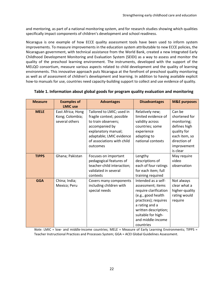and mentoring, as part of a national monitoring system, and for research studies showing which qualities specifically impact components of children's development and school readiness.

Nicaragua is one example of how ECCE quality assessment tools have been used to inform system improvements. To measure improvements in the education system attributable to new ECCE policies, the Nicaraguan government, with technical assistance from the World Bank, created a new Integrated Early Childhood Development Monitoring and Evaluation System (SEIDI) as a way to assess and monitor the quality of the preschool learning environment. The instruments, developed with the support of the MELQO consortium, measure various aspects related to child development and the quality of learning environments. This innovative approach puts Nicaragua at the forefront of preschool quality monitoring as well as of assessment of children's development and learning. In addition to having available explicit how-to manuals for use, countries need capacity-building support to collect and use evidence of quality.

| <b>Measure</b> | <b>Examples of</b><br><b>LMIC use</b>                  | <b>Advantages</b>                                                                                                                                                                            | <b>Disadvantages</b>                                                                                                                                                                                              | <b>M&amp;E purposes</b>                                                                                                           |
|----------------|--------------------------------------------------------|----------------------------------------------------------------------------------------------------------------------------------------------------------------------------------------------|-------------------------------------------------------------------------------------------------------------------------------------------------------------------------------------------------------------------|-----------------------------------------------------------------------------------------------------------------------------------|
| <b>MELE</b>    | East Africa; Hong<br>Kong; Colombia;<br>several others | Tailored to LMIC; used in<br>fragile context; possible<br>to train observers;<br>accompanied by<br>explanatory manual;<br>adaptable; LMIC evidence<br>of associations with child<br>outcomes | Relatively new;<br>limited evidence of<br>validity across<br>countries; some<br>experience<br>adapting to<br>national contexts                                                                                    | Can be<br>shortened for<br>monitoring;<br>defines high<br>quality for<br>each item, so<br>direction of<br>improvement<br>is clear |
| <b>TIPPS</b>   | Ghana; Pakistan                                        | Focuses on important<br>pedagogical features of<br>teacher-child interaction;<br>validated in several<br>contexts                                                                            | Lengthy<br>descriptions of<br>each of four ratings<br>for each item; full<br>training required                                                                                                                    | May require<br>video<br>observation                                                                                               |
| <b>GGA</b>     | China; India;<br>Mexico; Peru                          | Covers many components<br>including children with<br>special needs                                                                                                                           | Intended as a self-<br>assessment; items<br>require clarification<br>(e.g., good health<br>practices); requires<br>a rating and a<br>written description;<br>suitable for high-<br>and middle-income<br>countries | Not always<br>clear what a<br>higher-quality<br>rating would<br>require                                                           |

## **Table 1. Information about global goods for program quality evaluation and monitoring**

*Note:* LMIC = low- and middle-income countries; MELE = Measure of Early Learning Environments; TIPPS = Teacher Instructional Practices and Processes System; GGA = ACEI Global Guidelines Assessment.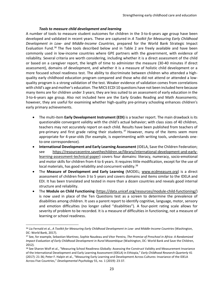#### *Tools to measure child development and learning*

A number of tools to measure student outcomes for children in the 3-to-6-years age group have been developed and validated in recent years. These are captured in *A Toolkit for Measuring Early Childhood Development in Low- and Middle-Income Countries,* prepared for the World Bank Strategic Impact Evaluation Fund.<sup>36</sup> The five tools described below and in Table 2 are freely available and have been commonly used in low-income countries where GPE partners with the government, with evidence of reliability. Several criteria are worth considering, including whether it is a direct assessment of the child or based on a caregiver report, the length of time to administer the measure (30-40 minutes if direct assessment), domains of development, and whether it is a measure of holistic child development or a more focused school readiness test. The ability to discriminate between children who attended a highquality early childhood education program compared and those who did not attend or attended a lowquality program is a strong validation of the test. Weaker evidence of validation comes from correlations with child's age and mother's education. The MICS ECDI 10 questions have not been included here because many items are for children under 3 years; they are less suited to an assessment of early education in the 3-to-6-years age group. Also not included here are the Early Grades Reading and Math Assessments; however, they are useful for examining whether high-quality pre-primary schooling enhances children's early primary achievements.

- The multi-item **Early Development Instrument (EDI)** is a teacher report. The main drawback is its questionable convergent validity with the child's actual behavior; with class sizes of 40 children, teachers may not accurately report on each child. Results have been published from teachers of pre-primary and first grade rating their students. $37$  However, many of the items seem more appropriate for 4-year-olds (for example, is experimenting with writing tools, understands oneto-one correspondence).
- **International Development and Early Learning Assessment** (IDELA, Save the Children Federation; see [https://resourcecentre.savethechildren.se/library/international-development-and-early](https://resourcecentre.savethechildren.se/library/international-development-and-early-learning-assessment-technical-paper)[learning-assessment-technical-paper\)](https://resourcecentre.savethechildren.se/library/international-development-and-early-learning-assessment-technical-paper) covers four domains: literacy, numeracy, socio-emotional and motor skills for children from 4 to 6 years. It requires little modification, except for the use of local materials, has good reliability and concurrent validity.<sup>38</sup>
- The **Measure of Development and Early Learning** (MODEL; [www.ecdmeasure.org\)](http://www.ecdmeasure.org/) is a direct assessment of children from 3 to 5 years and covers domains and items similar to the IDELA and EDI. It has been translated and tested in more than a dozen countries and reveals good internal structure and reliability.
- The **Module on Child Functioning** [\(https://data.unicef.org/resources/module-child-functioning/\)](https://data.unicef.org/resources/module-child-functioning/) is now used in place of the Ten Questions test as a screen to determine the prevalence of disabilities among children. It uses a parent report to identify cognitive, language, motor, sensory and emotion difficulties (no longer called "disabilities"). A four-point rating scale allows for severity of problem to be recorded. It is a measure of difficulties in functioning, not a measure of learning or school readiness.

 $\overline{\phantom{a}}$ 

<sup>36</sup> Lia Fernald et al., *A Toolkit for Measuring Early Childhood Development in Low- and Middle-Income Countries* (Washington, DC: World Bank, 2017).

<sup>37</sup> See, for example, Sebastian Martinez, Sophie Naudeau and Vitor Pereira, *The Promise of Preschool in Africa: A Randomized Impact Evaluation of Early Childhood Development in Rural Mozambique* (Washington, DC: World Bank and Save the Children, 2012).

<sup>38</sup> See Sharon Wolf et al., "Measuring School Readiness Globally: Assessing the Construct Validity and Measurement Invariance of the International Development and Early Learning Assessment (IDELA) in Ethiopia," *Early Childhood Research Quarterly* 41 (2017): 21-36; Peter F. Halpin et al., "Measuring Early Learning and Development Across Cultures: Invariance of the IDELA Across Five Countries," *Developmental Psychology* 55, no. 1 (2019): 23-37.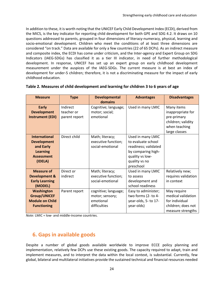In addition to these, it is worth noting that the UNICEF Early Child Development Index (ECDI), derived from the MICS, is the key indicator for reporting child development for both GPE and SDG 4.2. It draws on 10 questions addressed to parents, grouped in four dimensions of literacy-numeracy, physical, learning and socio-emotional development. Children who meet the conditions of at least three dimensions are considered "on track." Data are available for only a few countries (22 of 65 DCPs). As an indirect measure and composite index, the ECDI has come under criticism, and the Inter-agency and Expert Group on SDG Indicators (IAEG-SDGs) has classified it as a tier III indicator, in need of further methodological development. In response, UNICEF has set up an expert group on early childhood development measurement under the auspices of the IAEG-SDGs. The current measure is at best an index of development for under-5 children; therefore, it is not a discriminating measure for the impact of early childhood education.

| <b>Measure</b>           | <b>Type</b>   | <b>Developmental</b><br>domains | <b>Advantages</b>    | <b>Disadvantages</b> |
|--------------------------|---------------|---------------------------------|----------------------|----------------------|
| <b>Early</b>             | Indirect      | Cognitive; language;            | Used in many LMIC    | Many items           |
| <b>Development</b>       | teacher or    | motor; social;                  |                      | inappropriate for    |
| <b>Instrument (EDI)</b>  | parent report | emotional                       |                      | pre-primary          |
|                          |               |                                 |                      | children; validity   |
|                          |               |                                 |                      | when teaching        |
|                          |               |                                 |                      | large classes        |
| <b>International</b>     | Direct child  | Math; literacy;                 | Used in many LMIC    |                      |
| <b>Development</b>       |               | executive function;             | to evaluate school   |                      |
| and Early                |               | social-emotional                | readiness; validated |                      |
| <b>Learning</b>          |               |                                 | by comparing high-   |                      |
| <b>Assessment</b>        |               |                                 | quality vs low-      |                      |
| (IDELA)                  |               |                                 | quality vs no        |                      |
|                          |               |                                 | preschool            |                      |
| <b>Measure of</b>        | Direct or     | Math; literacy;                 | Used in many LMIC    | Relatively new;      |
| <b>Development &amp;</b> | indirect      | executive function;             | to assess            | requires validation  |
| <b>Early Learning</b>    |               | social-emotional                | development and      | in context           |
| (MODEL)                  |               |                                 | school readiness     |                      |
| Washington               | Parent report | cognitive; language;            | Easy to administer;  | May require          |
| <b>Group/UNICEF</b>      |               | motor; sensory;                 | two forms (2- to 4-  | medical validation   |
| <b>Module on Child</b>   |               | emotional                       | year-olds, 5- to 17- | for individual       |
| <b>Functioning</b>       |               | difficulties                    | year-olds)           | children; does not   |
|                          |               |                                 |                      | measure strengths    |

## **Table 2. Measures of child development and learning for children 3 to 6 years of age**

*Note:* LMIC = low- and middle-income countries.

# <span id="page-23-0"></span>**6. Gaps in available goods**

Despite a number of global goods available worldwide to improve ECCE policy planning and implementation, relatively few DCPs use these existing goods. The capacity required to adapt, train and implement measures, and to interpret the data within the local context, is substantial. Currently, few global, bilateral and multilateral initiatives provide the sustained technical and financial resources needed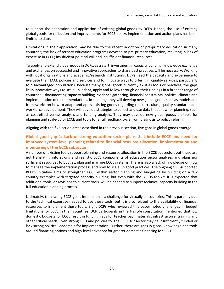to support the adaptation and application of existing global goods by DCPs. Hence, the use of existing global goods for reflection and improvements for ECCE policy, implementation and action plans has been limited to date.

Limitations in their application may be due to the recent adoption of pre-primary education in many countries; the lack of tertiary education programs devoted to pre-primary education, resulting in lack of expertise in ECCE; insufficient political will and insufficient financial resources.

To apply and extend global goods in DCPs, as a start, investment in capacity building, knowledge exchange and exchanges on successful and innovative approaches to share best practices will be necessary. Working with local organizations and academic/research institutions, DCPs need the capacity and experience to evaluate their ECCE policies and services and to innovate ways to offer high-quality services, particularly to disadvantaged populations. Because many global goods currently exist as tools or practices, the gaps lie in innovative ways to scale up, adapt, apply and follow through on their findings in a broader range of countries—documenting capacity building, evidence gathering, financial constraints, political climate and implementation of recommendations. In so doing, they will develop new global goods such as models and frameworks on how to adapt and apply existing goods regarding the curriculum, quality standards and workforce development. They will develop strategies to collect and use data that allow for planning, such as cost-effectiveness analysis and funding analysis. They may develop new global goods on tools for planning and scale-up of ECCE and tools for a full feedback cycle from diagnosis to policy reform.

Aligning with the five action areas described in the previous section, five gaps in global goods emerge.

## **Global good gap 1: Lack of strong education sector plans that include ECCE and need for improved system-level planning related to financial resource allocation, implementation and monitoring of the ECCE subsector**

A number of existing tools support planning and resource allocation in the ECCE subsector, but these are not translating into strong and realistic ECCE components of education sector analyses and plans nor sufficient resources to budget, plan and manage ECCE systems. There is also a lack of knowledge on how to manage the implementation process and how to scale up good practices. The ongoing GPE-supported BELDS initiative aims to strengthen ECCE within sector planning and budgeting by building on a few country examples with targeted capacity building, but even with the BELDS toolkit, it is expected that additional tools, or revisions to current tools, will be needed to support technical capacity building in the full education planning process.

Ultimately, translating ECCE goals into action is a challenge for virtually all countries. This is partially due to the technical expertise needed to use these tools, but it is also related to the availability of financial resources to implement these tools. Eight DCPs who reviewed this paper noted challenges in budget limitations for ECCE in their countries. DCP participants in the Nairobi consultation mentioned that low domestic budgets for ECCE result in funding gaps for teacher pay, materials, infrastructure, training and other critical needs. Even strong ESPs and policies for the ECCE subsector may be insufficiently funded or lack strong political leadership for implementation. Further, there are gaps in global knowledge and tools around financing options and high-level advocacy for greater domestic financing for ECCE.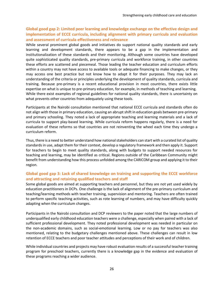# **Global good gap 2: Limited peer learning and knowledge exchange on the effective design and implementation of ECCE curricula, including alignment with primary curricula and evaluation and assessment of curricula effectiveness and relevance**

While several prominent global goods and initiatives do support national quality standards and early learning and development standards, there appears to be a gap in the implementation and institutionalization of these standards and their monitoring. Although some countries have developed quite sophisticated quality standards, pre-primary curricula and workforce training, in other countries these efforts are scattered and piecemeal. Those leading the teacher education and curriculum efforts within a country may not have access to available tools or adequate financing to make changes, or they may access one best practice but not know how to adapt it for their purposes. They may lack an understanding of the criteria or principles underlying the development of quality standards, curricula and training. Because pre-primary is a recent educational provision in most countries, there exists little expertise on what is unique to pre-primary education, for example, in methods of teaching and learning. While there exist examples of regional guidelines for national quality standards, there is uncertainty on what prevents other countries from adequately using these tools.

Participants at the Nairobi consultation mentioned that national ECCE curricula and standards often do not align with those in primary education, causing an abrupt shift in education goals between pre-primary and primary schooling. They noted a lack of appropriate teaching and learning materials and a lack of curricula to support play-based learning. While curricula reform happens regularly, there is a need for evaluation of these reforms so that countries are not reinventing the wheel each time they undergo a curriculum reform.

Thus, there is a need to better understand how national stakeholders can start with a curated list of quality standards in use, adapt them for their context, develop a regulatory framework and then apply it. Support for teachers to begin to meet quality standards, along with budgets to support needed resources for teaching and learning, may be identified as critical. Regions outside of the Caribbean Community might benefit from understanding how this process unfolded among the CARICOM group and applying it to their region.

## **Global good gap 3: Lack of shared knowledge on training and supporting the ECCE workforce and attracting and retaining qualified teachers and staff**

Some global goods are aimed at supporting teachers and personnel, but they are not yet used widely by education practitioners in DCPs. One challenge is the lack of alignment of the pre-primary curriculum and teaching/learning methods with teacher training, supervision and mentoring. Teachers are often trained to perform specific teaching activities, such as rote learning of numbers, and may have difficulty quickly adapting when the curriculum changes.

Participants in the Nairobi consultation and DCP reviewers to the paper noted that the large numbers of underqualified early childhood education teachers were a challenge, especially when paired with a lack of sufficient professional development. They noted professional development was needed in particular on the non-academic domains, such as social-emotional learning. Low or no pay for teachers was also mentioned, relating to the budgetary challenges mentioned above. These challenges can result in low retention of ECCE teachers and poor teacher attitudes and perceptions of their work and of children.

While individual countries and projects may have robust evaluation results of a successful teacher training program for preschool teachers, currently there is a knowledge gap in the evidence and evaluation of these programs reaching a wider audience.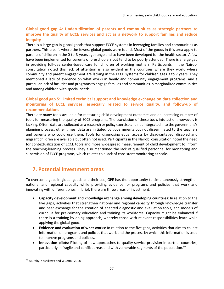## **Global good gap 4: Underutilization of parents and communities as strategic partners to improve the quality of ECCE services and act as a network to support families and reduce inequity**

There is a large gap in global goods that support ECCE systems in leveraging families and communities as partners. This area is where the fewest global goods were found. Most of the goods in this area apply to parents of children in the 0-to-3-years age range and so have been developed for the health sector. A few have been implemented for parents of preschoolers but tend to be poorly attended. There is a large gap in providing full-day center-based care for children of working mothers. Participants in the Nairobi consultation noted this lack of attention is also evident in the countries where they work, where community and parent engagement are lacking in the ECCE systems for children ages 3 to 7 years. They mentioned a lack of evidence on what works in family and community engagement programs, and a particular lack of facilities and programs to engage families and communities in marginalized communities and among children with special needs.

## **Global good gap 5: Limited technical support and knowledge exchange on data collection and monitoring of ECCE services, especially related to service quality, and follow-up of recommendations**

There are many tools available for measuring child development outcomes and an increasing number of tools for measuring the quality of ECCE programs. The translation of these tools into action, however, is lacking. Often, data are collected as a research or policy exercise and not integrated into the government's planning process; other times, data are initiated by governments but not disseminated to the teachers and parents who could use them. Tools for diagnosing equal access by disadvantaged, disabled and migrant children are available but often not used. Participants in the Nairobi consultation noted the need for contextualization of ECCE tools and more widespread measurement of child development to inform the teaching-learning process. They also mentioned the lack of qualified personnel for monitoring and supervision of ECCE programs, which relates to a lack of consistent monitoring at scale.

# <span id="page-26-0"></span>**7. Potential investment areas**

To overcome gaps in global goods and their use, GPE has the opportunity to simultaneously strengthen national and regional capacity while providing evidence for programs and policies that work and innovating with different ones. In brief, there are three areas of investment:

- **Capacity development and knowledge exchange among developing countries**: In relation to the five gaps, activities that strengthen national and regional capacity through knowledge transfer and peer exchange for the creation of adapted diagnostic and evaluation tools, and models of curricula for pre-primary education and training its workforce. Capacity might be enhanced if there is a training-by-doing approach, whereby those with relevant responsibilities learn while applying the global good.
- **Evidence and evaluation of what works**: In relation to the five gaps, activities that aim to collect information on programs and policies that work and the process by which this information is used to improve programs and policies.
- **Innovation pilots**: Piloting of new approaches to quality service provision in partner countries, particularly in fragile and conflict areas and with vulnerable segments of the population.<sup>39</sup>

 $\overline{a}$ 

<sup>&</sup>lt;sup>39</sup> Murphy, Yoshikawa and Wuermli 2018.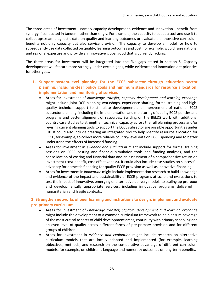The three areas of investment—namely capacity development, evidence and innovation—benefit from synergy if conducted in tandem rather than singly. For example, the capacity to adapt a tool and use it to collect upstream diagnostic data on quality and learning outcomes or evaluate an innovative curriculum benefits not only capacity but also service provision. The capacity to develop a model for how to subsequently use data collected on quality, learning outcomes and cost, for example, would raise national and regional expertise and provide an innovative global good that is currently lacking.

The three areas for investment will be integrated into the five gaps stated in section 5. Capacity development will feature more strongly under certain gaps, while evidence and innovation are priorities for other gaps.

- **1. Support system-level planning for the ECCE subsector through education sector planning, including clear policy goals and minimum standards for resource allocation, implementation and monitoring of services**
	- Areas for investment of *knowledge transfer, capacity development and learning exchange* might include joint DCP planning workshops, experience sharing, formal training and highquality technical support to stimulate development and improvement of national ECCE subsector planning, including the implementation and monitoring of quality ECCE policies and programs and better alignment of resources. Building on the BELDS work with additional country case studies to strengthen technical capacity across the full planning process and/or revising current planning tools to support the ECCE subsector are possible opportunities under KIX. It could also include creating an integrated tool to help identify resource allocation for ECCE, for example, to collect more reliable country-level data on ECCE spending and to better understand the effects of increased funding.
	- Areas for investment in *evidence and evaluation* might include support for formal training sessions on ECCE costing and financial simulation tools and funding analyses, and the consolidation of costing and financial data and an assessment of a comprehensive return on investment (cost-benefit, cost-effectiveness). It could also include case studies on successful advocacy for domestic financing for quality ECCE provision as well as innovative financing.
	- Areas for investment in *innovation* might include implementation research to build knowledge and evidence of the impact and sustainability of ECCE programs at scale and evaluations to test the impact of innovative, emerging or alternative delivery models to scaling up pro-poor and developmentally appropriate services, including innovative programs delivered in humanitarian and fragile contexts.

## **2. Strengthen networks of peer learning and institutions to design, implement and evaluate pre-primary curriculum**

- Areas for investment of *knowledge transfer, capacity development and learning exchange* might include the development of a common curriculum framework to help ensure coverage of the most critical aspects of child development areas, continuity with primary schooling and an even level of quality across different forms of pre-primary provision and for different groups of children.
- Areas for investment in *evidence and evaluation* might include research on alternative curriculum models that are locally adapted and implemented (for example, learning objectives, methods) and research on the comparative advantage of different curriculum models, for example, on children's language and numeracy outcomes or long-term benefits.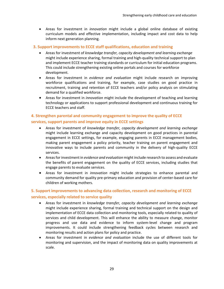• Areas for investment in *innovation* might include a global online database of existing curriculum models and effective implementation, including impact and cost data to help inform next generation planning.

#### **3. Support improvements to ECCE staff qualifications, education and training**

- Areas for investment of *knowledge transfer, capacity development and learning exchange* might include experience sharing, formal training and high-quality technical support to plan and implement ECCE teacher training standards or curriculum for initial education programs. This could include strengthening existing online portals and courses for workforce development.
- Areas for investment in *evidence and evaluation* might include research on improving workforce qualifications and training, for example, case studies on good practice in recruitment, training and retention of ECCE teachers and/or policy analysis on stimulating demand for a qualified workforce.
- Areas for investment in *innovation* might include the development of teaching and learning technology or applications to support professional development and continuous training for ECCE teachers and staff.

# **4. Strengthen parental and community engagement to improve the quality of ECCE services, support parents and improve equity in ECCE settings**

- Areas for investment of *knowledge transfer, capacity development and learning exchange* might include learning exchange and capacity development on good practices in parental engagement in ECCE settings, for example, engaging parents in ECCE management bodies, making parent engagement a policy priority, teacher training on parent engagement and innovative ways to include parents and community in the delivery of high-quality ECCE services.
- Areas for investment in *evidence and evaluation* might include research to assess and evaluate the benefits of parent engagement on the quality of ECCE services, including studies that engage parents to evaluate services.
- Areas for investment in *innovation* might include strategies to enhance parental and community demand for quality pre-primary education and provision of center-based care for children of working mothers.

# **5. Support improvements to advancing data collection, research and monitoring of ECCE services, especially related to service quality**

- Areas for investment in *knowledge transfer, capacity development and learning exchange* might include experience sharing, formal training and technical support on the design and implementation of ECCE data collection and monitoring tools, especially related to quality of services and child development. This will enhance the ability to measure change, monitor progress and use data and evidence to inform system-level change and program improvements. It could include strengthening feedback cycles between research and monitoring results and action plans for policy and practice.
- Areas for investment in *evidence and evaluation* include the use of different tools for monitoring and supervision, and the impact of monitoring data on quality improvements at scale.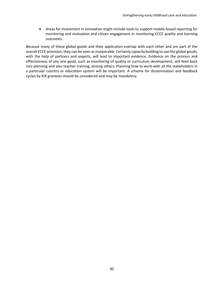• Areas for investment in *innovation* might include tools to support mobile-based reporting for monitoring and evaluation and citizen engagement in monitoring ECCE quality and learning outcomes.

Because many of these global goods and their application overlap with each other and are part of the overall ECCE provision, they can be seen as inseparable. Certainly capacity building to use the global goods, with the help of partners and experts, will lead to important evidence. Evidence on the process and effectiveness of any one good, such as monitoring of quality or curriculum development, will feed back into planning and also teacher training, among others. Planning how to work with all the stakeholders in a particular country or education system will be important. A scheme for dissemination and feedback cycles by KIX grantees should be considered and may be mandatory.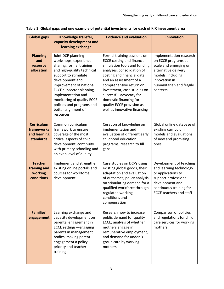| <b>Global gaps</b>                                                  | Knowledge transfer,<br>capacity development and<br>learning exchange                                                                                                                                                                                                                                                                | <b>Evidence and evaluation</b>                                                                                                                                                                                                                                                                                                                                     | <b>Innovation</b>                                                                                                                                                                |
|---------------------------------------------------------------------|-------------------------------------------------------------------------------------------------------------------------------------------------------------------------------------------------------------------------------------------------------------------------------------------------------------------------------------|--------------------------------------------------------------------------------------------------------------------------------------------------------------------------------------------------------------------------------------------------------------------------------------------------------------------------------------------------------------------|----------------------------------------------------------------------------------------------------------------------------------------------------------------------------------|
| <b>Planning</b><br>and<br>resource<br>allocation                    | Joint DCP planning<br>workshops, experience<br>sharing, formal training<br>and high-quality technical<br>support to stimulate<br>development and<br>improvement of national<br><b>ECCE subsector planning,</b><br>implementation and<br>monitoring of quality ECCE<br>policies and programs and<br>better alignment of<br>resources | Formal training sessions on<br><b>ECCE costing and financial</b><br>simulation tools and funding<br>analyses; consolidation of<br>costing and financial data<br>and an assessment of a<br>comprehensive return on<br>investment; case studies on<br>successful advocacy for<br>domestic financing for<br>quality ECCE provision as<br>well as innovative financing | Implementation research<br>on ECCE programs at<br>scale and emerging or<br>alternative delivery<br>models, including<br>innovation in<br>humanitarian and fragile<br>contexts    |
| <b>Curriculum</b><br>frameworks<br>and learning<br><b>standards</b> | Common curriculum<br>framework to ensure<br>coverage of the most<br>critical aspects of child<br>development, continuity<br>with primary schooling and<br>an even level of quality                                                                                                                                                  | Curation of knowledge on<br>implementation and<br>evaluation of different early<br>childhood education<br>programs; research to fill<br>gaps                                                                                                                                                                                                                       | Global online database of<br>existing curriculum<br>models and evaluations<br>of new and promising<br>ones                                                                       |
| <b>Teacher</b><br>training and<br>working<br>conditions             | Implement and strengthen<br>existing online portals and<br>courses for workforce<br>development                                                                                                                                                                                                                                     | Case studies on DCPs using<br>existing global goods, their<br>adaptation and evaluation<br>of outcomes; policy analysis<br>on stimulating demand for a<br>qualified workforce through<br>regulated working<br>conditions and<br>compensation                                                                                                                       | Development of teaching<br>and learning technology<br>or applications to<br>support professional<br>development and<br>continuous training for<br><b>ECCE teachers and staff</b> |
| <b>Families'</b><br>engagement                                      | Learning exchange and<br>capacity development on<br>parental engagement in<br>ECCE settings-engaging<br>parents in management<br>bodies, making parent<br>engagement a policy<br>priority and teacher<br>training                                                                                                                   | Research how to increase<br>public demand for quality<br>ECCE; analysis of whether<br>mothers engage in<br>remunerative employment,<br>and demand for under-3<br>group care by working<br>mothers                                                                                                                                                                  | Comparison of policies<br>and regulations for child<br>care services for working<br>mothers                                                                                      |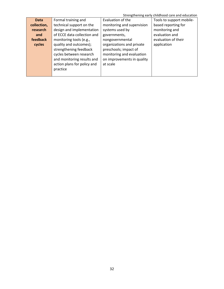Strengthening early childhood care and education

| <b>Data</b> | Formal training and         | Evaluation of the          | Tools to support mobile- |
|-------------|-----------------------------|----------------------------|--------------------------|
| collection, | technical support on the    | monitoring and supervision | based reporting for      |
| research    | design and implementation   | systems used by            | monitoring and           |
| and         | of ECCE data collection and | governments,               | evaluation and           |
| feedback    | monitoring tools (e.g.,     | nongovernmental            | evaluation of their      |
| cycles      | quality and outcomes);      | organizations and private  | application              |
|             | strengthening feedback      | preschools; impact of      |                          |
|             | cycles between research     | monitoring and evaluation  |                          |
|             | and monitoring results and  | on improvements in quality |                          |
|             | action plans for policy and | at scale                   |                          |
|             | practice                    |                            |                          |
|             |                             |                            |                          |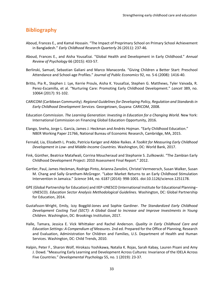# <span id="page-32-0"></span>**Bibliography**

- Aboud, Frances E., and Kamal Hossain. "The Impact of Preprimary School on Primary School Achievement in Bangladesh." *Early Childhood Research Quarterly* 26 (2011): 237-46*.*
- Aboud, Frances E., and Aisha Yousafzai. "Global Health and Development in Early Childhood." *Annual Review of Psychology* 66 (2015): 433-57.
- Berlinski, Samuel, Sebastian Galiani and Marco Manacorda. "Giving Children a Better Start: Preschool Attendance and School-age Profiles." *Journal of Public Economics* 92, no. 5-6 (2008): 1416-40.
- Britto, Pia R., Stephen J. Lye, Kerrie Proulx, Aisha K. Yousafzai, Stephen G. Matthews, Tyler Vaivada, R. Perez-Escamilla, et al. "Nurturing Care: Promoting Early Childhood Development." *Lancet* 389, no. 10064 (2017): 91-102.
- CARICOM (Caribbean Community). *Regional Guidelines for Developing Policy, Regulation and Standards in Early Childhood Development Services.* Georgetown, Guyana: CARICOM, 2008.
- Education Commission. *The Learning Generation: Investing in Education for a Changing World.* New York: International Commission on Financing Global Education Opportunity, 2016.
- Elango, Sneha, Jorge L. García, James J. Heckman and Andrés Hojman. "Early Childhood Education." NBER Working Paper 21766, National Bureau of Economic Research, Cambridge, MA, 2015.
- Fernald, Lia, Elizabeth L. Prado, Patricia Kariger and Abbie Raikes. *A Toolkit for Measuring Early Childhood Development in Low- and Middle-Income Countries.* Washington, DC: World Bank, 2017.
- Fink, Günther, Beatrice Matafwali, Corrina Moucheraud and Stephanie S. Zuilkowski. "The Zambian Early Childhood Development Project: 2010 Assessment Final Report." 2012.
- Gertler, Paul, James Heckman, Rodrigo Pinto, Arianna Zanolini, Christel Vermeersch, Susan Walker, Susan M. Chang and Sally Grantham-McGregor. "Labor Market Returns to an Early Childhood Stimulation Intervention in Jamaica." *Science* 344, no. 6187 (2014): 998-1001. doi:10.1126/science.1251178.
- GPE (Global Partnership for Education) and IIEP-UNESCO (International Institute for Educational Planning– UNESCO). *Education Sector Analysis Methodological Guidelines.* Washington, DC: Global Partnership for Education, 2014.
- Gustafsson-Wright, Emily, Izzy Boggild-Jones and Sophie Gardiner. *The Standardized Early Childhood Development Costing Tool (SECT): A Global Good to Increase and Improve Investments in Young Children*. Washington, DC: Brookings Institution, 2017.
- Halle, Tamara, Jessica E. Vick Whittaker and Rachel Anderson. *Quality in Early Childhood Care and Education Settings: A Compendium of Measures*. 2nd ed. Prepared for the Office of Planning, Research and Evaluation, Administration for Children and Families, U.S. Department of Health and Human Services. Washington, DC: Child Trends, 2010.
- Halpin, Peter F., Sharon Wolf, Hirokazu Yoshikawa, Natalia K. Rojas, Sarah Kabay, Lauren Pisani and Amy J. Dowd. "Measuring Early Learning and Development Across Cultures: Invariance of the IDELA Across Five Countries." *Developmental Psychology* 55, no. 1 (2019): 23-37*.*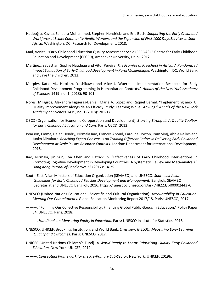- Hatipoğlu, Kavita, Zaheera Mohammed, Stephen Hendricks and Eric Buch. *Supporting the Early Childhood Workforce at Scale: Community Health Workers and the Expansion of First 1000 Days Services in South Africa*. Washington, DC: Research for Development, 2018.
- Kaul, Venita, "Early Childhood Education Quality Assessment Scale (ECEQAS)." Centre for Early Childhood Education and Development (CECED), Ambedkar University, Delhi, 2012.
- Martinez, Sebastian, Sophie Naudeau and Vitor Pereira. *The Promise of Preschool in Africa: A Randomized Impact Evaluation of Early Childhood Development in Rural Mozambique*. Washington, DC: World Bank and Save the Children, 2012.
- Murphy, Katie M., Hirokazu Yoshikawa and Alice J. Wuermli. "Implementation Research for Early Childhood Development Programming in Humanitarian Contexts." *Annals of the New York Academy of Sciences* 1419, no. 1 (2018): 90-101.
- Nores, Milagros, Alexandra Figueras-Daniel, Maria A. Lopez and Raquel Bernal. "Implementing aeioTU: Quality Improvement Alongside an Efficacy Study: Learning While Growing." *Annals of the New York Academy of Sciences* 1419, no. 1 (2018): 201-17.
- OECD (Organisation for Economic Co-operation and Development). *Starting Strong III: A Quality Toolbox for Early Childhood Education and Care*. Paris: OECD, 2012.
- Pearson, Emma, Helen Hendry, Nirmala Rao, Frances Aboud, Caroline Horton, Iram Siraj, Abbie Raikes and Junko Miyahara. *Reaching Expert Consensus on Training Different Cadres in Delivering Early Childhood Development at Scale in Low-Resource Contexts.* London: Department for International Development, 2018.
- Rao, Nirmala, Jin Sun, Eva Chen and Patrick Ip. "Effectiveness of Early Childhood Interventions in Promoting Cognitive Development in Developing Countries: A Systematic Review and Meta-analysis." *Hong Kong Journal of Paediatrics* 22 (2017): 14-25.
- South-East Asian Ministers of Education Organization (SEAMEO) and UNESCO. *Southeast Asian Guidelines for Early Childhood Teacher Development and Management.* Bangkok: SEAMEO Secretariat and UNESCO Bangkok, 2016. https:// unesdoc.unesco.org/ark:/48223/pf0000244370.
- UNESCO (United Nations Educational, Scientific and Cultural Organization). *Accountability in Education: Meeting Our Commitments.* Global Education Monitoring Report 2017/18. Paris: UNESCO, 2017.
- ———. "Fulfilling Our Collective Responsibility: Financing Global Public Goods in Education." Policy Paper 34, UNESCO, Paris, 2018.
- ———. *Handbook on Measuring Equity in Education.* Paris: UNESCO Institute for Statistics, 2018.
- UNESCO, UNICEF, Brookings Institution, and World Bank. *Overview: MELQO: Measuring Early Learning Quality and Outcomes*. Paris: UNESCO, 2017.
- UNICEF (United Nations Children's Fund). *A World Ready to Learn: Prioritizing Quality Early Childhood Education.* New York: UNICEF, 2019a.
- ———. *Conceptual Framework for the Pre-Primary Sub-Sector*. New York: UNICEF, 2019b.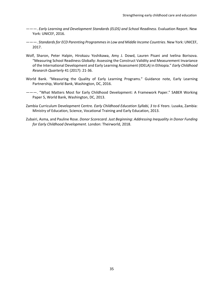- ———. *Early Learning and Development Standards (ELDS) and School Readiness*. Evaluation Report. New York: UNICEF, 2016.
- ———. *Standards for ECD Parenting Programmes in Low and Middle Income Countries*. New York: UNICEF, 2017.
- Wolf, Sharon, Peter Halpin, Hirokazu Yoshikawa, Amy J. Dowd, Lauren Pisani and Ivelina Borisova. "Measuring School Readiness Globally: Assessing the Construct Validity and Measurement Invariance of the International Development and Early Learning Assessment (IDELA) in Ethiopia." *Early Childhood Research Quarterly* 41 (2017): 21-36.
- World Bank. "Measuring the Quality of Early Learning Programs." Guidance note, Early Learning Partnership, World Bank, Washington, DC, 2016.
- ———. "What Matters Most for Early Childhood Development: A Framework Paper." SABER Working Paper 5, World Bank, Washington, DC, 2013.
- Zambia Curriculum Development Centre. *Early Childhood Education Syllabi, 3 to 6 Years*. Lusaka, Zambia: Ministry of Education, Science, Vocational Training and Early Education, 2013.
- Zubairi, Asma, and Pauline Rose. *Donor Scorecard. Just Beginning: Addressing Inequality in Donor Funding for Early Childhood Development*. London: Theirworld, 2018.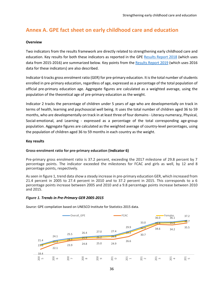# **Annex A. GPE fact sheet on early childhood care and education**

#### **Overview**

Two indicators from the results framework are directly related to strengthening early childhood care and education. Key results for both these indicators as reported in the GPE [Results Report 2018](https://www.globalpartnership.org/sites/default/files/2018-06-gpe-results-report-2018-web4.pdf) (which uses data from 2015-2016) are summarized below. Key points from the [Results Report 2019](https://www.globalpartnership.org/sites/default/files/2019-06-10-gpe-results-report-2019.pdf) (which uses 2016 data for these indicators) are also described.

Indicator 6 tracks gross enrolment ratio (GER) for pre-primary education. It is the total number of students enrolled in pre-primary education, regardless of age, expressed as a percentage of the total population of official pre-primary education age. Aggregate figures are calculated as a weighted average, using the population of the theoretical age of pre-primary education as the weight.

Indicator 2 tracks the percentage of children under 5 years of age who are developmentally on track in terms of health, learning and psychosocial well being. It uses the total number of children aged 36 to 59 months, who are developmentally on track in at least three of four domains - Literacy-numeracy, Physical, Social-emotional, and Learning - expressed as a percentage of the total corresponding age-group population. Aggregate figures are calculated as the weighted average of country-level percentages, using the population of children aged 36 to 59 months in each country as the weight.

#### **Key results**

#### **Gross-enrolment ratio for pre-primary education (Indicator 6)**

Pre-primary gross enrolment ratio is 37.2 percent, exceeding the 2017 milestone of 29.8 percent by 7 percentage points. The indicator exceeded the milestones for FCAC and girls as well, by 12 and 8 percentage points, respectively.

As seen in figure 1, trend data show a steady increase in pre-primary education GER, which increased from 21.4 percent in 2005 to 27.4 percent in 2010 and to 37.2 percent in 2015. This corresponds to a 6 percentage points increase between 2005 and 2010 and a 9.8 percentage points increase between 2010 and 2015.

#### *Figure 1. Trends in Pre-Primary GER 2005-2015*



*Source:* GPE compilation based on UNESCO Institute for Statistics 2015 data.